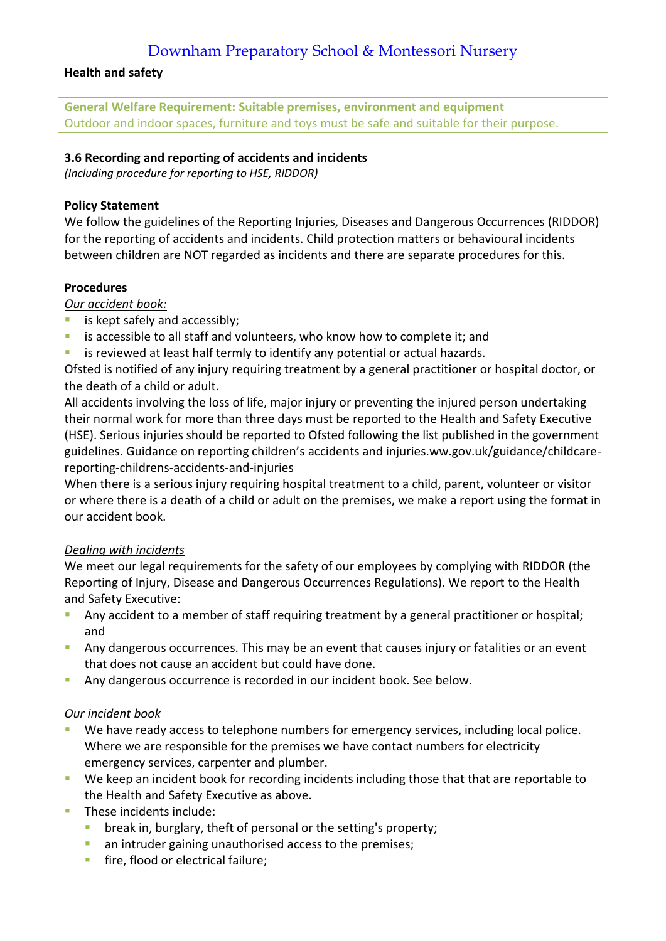## Downham Preparatory School & Montessori Nursery

## **Health and safety**

**General Welfare Requirement: Suitable premises, environment and equipment** Outdoor and indoor spaces, furniture and toys must be safe and suitable for their purpose.

## **3.6 Recording and reporting of accidents and incidents**

*(Including procedure for reporting to HSE, RIDDOR)*

## **Policy Statement**

We follow the guidelines of the Reporting Injuries, Diseases and Dangerous Occurrences (RIDDOR) for the reporting of accidents and incidents. Child protection matters or behavioural incidents between children are NOT regarded as incidents and there are separate procedures for this.

## **Procedures**

*Our accident book:*

- **is kept safely and accessibly;**
- **EXTED is accessible to all staff and volunteers, who know how to complete it; and**
- **EXTED is reviewed at least half termly to identify any potential or actual hazards.**

Ofsted is notified of any injury requiring treatment by a general practitioner or hospital doctor, or the death of a child or adult.

All accidents involving the loss of life, major injury or preventing the injured person undertaking their normal work for more than three days must be reported to the Health and Safety Executive (HSE). Serious injuries should be reported to Ofsted following the list published in the government guidelines. Guidance on reporting children's accidents and injuries.ww.gov.uk/guidance/childcarereporting-childrens-accidents-and-injuries

When there is a serious injury requiring hospital treatment to a child, parent, volunteer or visitor or where there is a death of a child or adult on the premises, we make a report using the format in our accident book.

## *Dealing with incidents*

We meet our legal requirements for the safety of our employees by complying with RIDDOR (the Reporting of Injury, Disease and Dangerous Occurrences Regulations). We report to the Health and Safety Executive:

- **Any accident to a member of staff requiring treatment by a general practitioner or hospital;** and
- Any dangerous occurrences. This may be an event that causes injury or fatalities or an event that does not cause an accident but could have done.
- Any dangerous occurrence is recorded in our incident book. See below.

### *Our incident book*

- We have ready access to telephone numbers for emergency services, including local police. Where we are responsible for the premises we have contact numbers for electricity emergency services, carpenter and plumber.
- We keep an incident book for recording incidents including those that that are reportable to the Health and Safety Executive as above.
- **These incidents include:** 
	- break in, burglary, theft of personal or the setting's property;
	- **an intruder gaining unauthorised access to the premises;**
	- **fire, flood or electrical failure;**